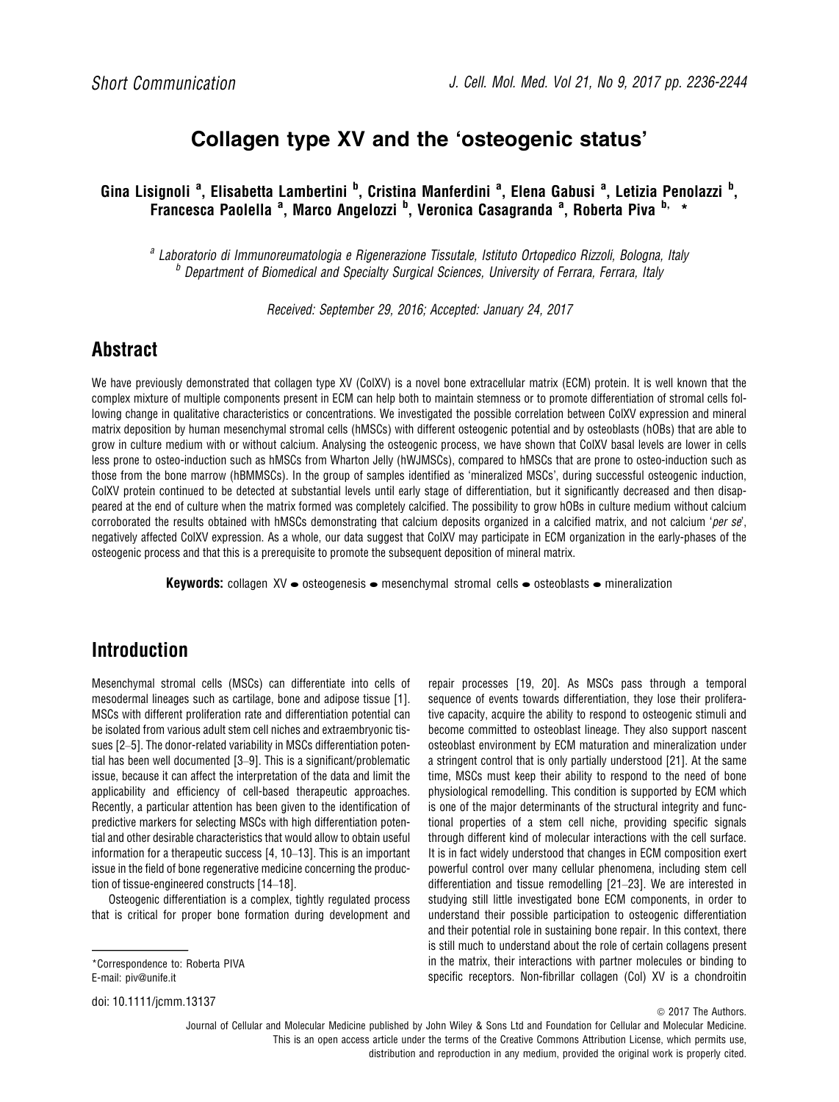# Collagen type XV and the 'osteogenic status'

Gina Lisignoli <sup>a</sup>, Elisabetta Lambertini <sup>b</sup>, Cristina Manferdini <sup>a</sup>, Elena Gabusi <sup>a</sup>, Letizia Penolazzi <sup>b</sup>, Francesca Paolella <sup>a</sup>, Marco Angelozzi <sup>b</sup>, Veronica Casagranda <sup>a</sup>, Roberta Piva <sup>b,</sup> \*

<sup>a</sup> Laboratorio di Immunoreumatologia e Rigenerazione Tissutale, Istituto Ortopedico Rizzoli, Bologna, Italy <sup>b</sup> Department of Biomedical and Specialty Surgical Sciences, University of Ferrara, Ferrara, Italy

Received: September 29, 2016; Accepted: January 24, 2017

## Abstract

We have previously demonstrated that collagen type XV (ColXV) is a novel bone extracellular matrix (ECM) protein. It is well known that the complex mixture of multiple components present in ECM can help both to maintain stemness or to promote differentiation of stromal cells following change in qualitative characteristics or concentrations. We investigated the possible correlation between ColXV expression and mineral matrix deposition by human mesenchymal stromal cells (hMSCs) with different osteogenic potential and by osteoblasts (hOBs) that are able to grow in culture medium with or without calcium. Analysing the osteogenic process, we have shown that ColXV basal levels are lower in cells less prone to osteo-induction such as hMSCs from Wharton Jelly (hWJMSCs), compared to hMSCs that are prone to osteo-induction such as those from the bone marrow (hBMMSCs). In the group of samples identified as 'mineralized MSCs', during successful osteogenic induction, ColXV protein continued to be detected at substantial levels until early stage of differentiation, but it significantly decreased and then disappeared at the end of culture when the matrix formed was completely calcified. The possibility to grow hOBs in culture medium without calcium corroborated the results obtained with hMSCs demonstrating that calcium deposits organized in a calcified matrix, and not calcium 'per se', negatively affected ColXV expression. As a whole, our data suggest that ColXV may participate in ECM organization in the early-phases of the osteogenic process and that this is a prerequisite to promote the subsequent deposition of mineral matrix.

**Keywords:** collagen XV  $\bullet$  osteogenesis  $\bullet$  mesenchymal stromal cells  $\bullet$  osteoblasts  $\bullet$  mineralization

# Introduction

Mesenchymal stromal cells (MSCs) can differentiate into cells of mesodermal lineages such as cartilage, bone and adipose tissue [1]. MSCs with different proliferation rate and differentiation potential can be isolated from various adult stem cell niches and extraembryonic tissues [2–5]. The donor-related variability in MSCs differentiation potential has been well documented [3–9]. This is a significant/problematic issue, because it can affect the interpretation of the data and limit the applicability and efficiency of cell-based therapeutic approaches. Recently, a particular attention has been given to the identification of predictive markers for selecting MSCs with high differentiation potential and other desirable characteristics that would allow to obtain useful information for a therapeutic success [4, 10–13]. This is an important issue in the field of bone regenerative medicine concerning the production of tissue-engineered constructs [14–18].

Osteogenic differentiation is a complex, tightly regulated process that is critical for proper bone formation during development and

\*Correspondence to: Roberta PIVA E-mail: piv@unife.it

doi: 10.1111/jcmm.13137

repair processes [19, 20]. As MSCs pass through a temporal sequence of events towards differentiation, they lose their proliferative capacity, acquire the ability to respond to osteogenic stimuli and become committed to osteoblast lineage. They also support nascent osteoblast environment by ECM maturation and mineralization under a stringent control that is only partially understood [21]. At the same time, MSCs must keep their ability to respond to the need of bone physiological remodelling. This condition is supported by ECM which is one of the major determinants of the structural integrity and functional properties of a stem cell niche, providing specific signals through different kind of molecular interactions with the cell surface. It is in fact widely understood that changes in ECM composition exert powerful control over many cellular phenomena, including stem cell differentiation and tissue remodelling [21–23]. We are interested in studying still little investigated bone ECM components, in order to understand their possible participation to osteogenic differentiation and their potential role in sustaining bone repair. In this context, there is still much to understand about the role of certain collagens present in the matrix, their interactions with partner molecules or binding to specific receptors. Non-fibrillar collagen (Col) XV is a chondroitin

 $\odot$  2017 The Authors.

Journal of Cellular and Molecular Medicine published by John Wiley & Sons Ltd and Foundation for Cellular and Molecular Medicine. This is an open access article under the terms of the [Creative Commons Attribution](http://creativecommons.org/licenses/by/4.0/) License, which permits use, distribution and reproduction in any medium, provided the original work is properly cited.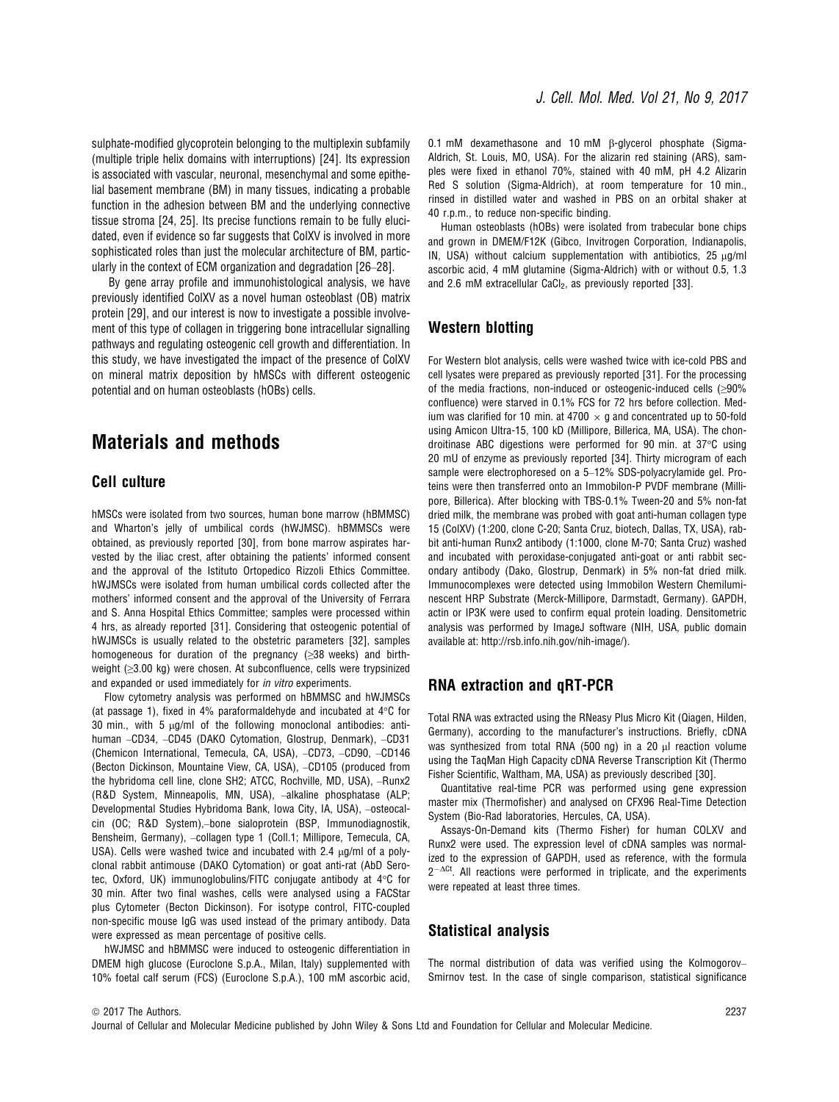sulphate-modified glycoprotein belonging to the multiplexin subfamily (multiple triple helix domains with interruptions) [24]. Its expression is associated with vascular, neuronal, mesenchymal and some epithelial basement membrane (BM) in many tissues, indicating a probable function in the adhesion between BM and the underlying connective tissue stroma [24, 25]. Its precise functions remain to be fully elucidated, even if evidence so far suggests that ColXV is involved in more sophisticated roles than just the molecular architecture of BM, particularly in the context of ECM organization and degradation [26–28].

By gene array profile and immunohistological analysis, we have previously identified ColXV as a novel human osteoblast (OB) matrix protein [29], and our interest is now to investigate a possible involvement of this type of collagen in triggering bone intracellular signalling pathways and regulating osteogenic cell growth and differentiation. In this study, we have investigated the impact of the presence of ColXV on mineral matrix deposition by hMSCs with different osteogenic potential and on human osteoblasts (hOBs) cells.

### Materials and methods

### Cell culture

hMSCs were isolated from two sources, human bone marrow (hBMMSC) and Wharton's jelly of umbilical cords (hWJMSC). hBMMSCs were obtained, as previously reported [30], from bone marrow aspirates harvested by the iliac crest, after obtaining the patients' informed consent and the approval of the Istituto Ortopedico Rizzoli Ethics Committee. hWJMSCs were isolated from human umbilical cords collected after the mothers' informed consent and the approval of the University of Ferrara and S. Anna Hospital Ethics Committee; samples were processed within 4 hrs, as already reported [31]. Considering that osteogenic potential of hWJMSCs is usually related to the obstetric parameters [32], samples homogeneous for duration of the pregnancy (≥38 weeks) and birthweight (≥3.00 kg) were chosen. At subconfluence, cells were trypsinized and expanded or used immediately for in vitro experiments.

Flow cytometry analysis was performed on hBMMSC and hWJMSCs (at passage 1), fixed in 4% paraformaldehyde and incubated at 4 $\degree$ C for 30 min., with 5  $\mu$ g/ml of the following monoclonal antibodies: antihuman –CD34, –CD45 (DAKO Cytomation, Glostrup, Denmark), –CD31 (Chemicon International, Temecula, CA, USA), –CD73, –CD90, –CD146 (Becton Dickinson, Mountaine View, CA, USA), –CD105 (produced from the hybridoma cell line, clone SH2; ATCC, Rochville, MD, USA), –Runx2 (R&D System, Minneapolis, MN, USA), –alkaline phosphatase (ALP; Developmental Studies Hybridoma Bank, Iowa City, IA, USA), –osteocalcin (OC; R&D System),–bone sialoprotein (BSP, Immunodiagnostik, Bensheim, Germany), –collagen type 1 (Coll.1; Millipore, Temecula, CA, USA). Cells were washed twice and incubated with  $2.4 \mu q/ml$  of a polyclonal rabbit antimouse (DAKO Cytomation) or goat anti-rat (AbD Serotec, Oxford, UK) immunoglobulins/FITC conjugate antibody at 4°C for 30 min. After two final washes, cells were analysed using a FACStar plus Cytometer (Becton Dickinson). For isotype control, FITC-coupled non-specific mouse IgG was used instead of the primary antibody. Data were expressed as mean percentage of positive cells.

hWJMSC and hBMMSC were induced to osteogenic differentiation in DMEM high glucose (Euroclone S.p.A., Milan, Italy) supplemented with 10% foetal calf serum (FCS) (Euroclone S.p.A.), 100 mM ascorbic acid,

0.1 mM dexamethasone and 10 mM B-glycerol phosphate (Sigma-Aldrich, St. Louis, MO, USA). For the alizarin red staining (ARS), samples were fixed in ethanol 70%, stained with 40 mM, pH 4.2 Alizarin Red S solution (Sigma-Aldrich), at room temperature for 10 min., rinsed in distilled water and washed in PBS on an orbital shaker at 40 r.p.m., to reduce non-specific binding.

Human osteoblasts (hOBs) were isolated from trabecular bone chips and grown in DMEM/F12K (Gibco, Invitrogen Corporation, Indianapolis, IN, USA) without calcium supplementation with antibiotics,  $25 \mu g/ml$ ascorbic acid, 4 mM glutamine (Sigma-Aldrich) with or without 0.5, 1.3 and 2.6 mM extracellular CaCl<sub>2</sub>, as previously reported [33].

#### Western blotting

For Western blot analysis, cells were washed twice with ice-cold PBS and cell lysates were prepared as previously reported [31]. For the processing of the media fractions, non-induced or osteogenic-induced cells (≥90% confluence) were starved in 0.1% FCS for 72 hrs before collection. Medium was clarified for 10 min. at 4700  $\times$  g and concentrated up to 50-fold using Amicon Ultra-15, 100 kD (Millipore, Billerica, MA, USA). The chondroitinase ABC digestions were performed for 90 min. at 37°C using 20 mU of enzyme as previously reported [34]. Thirty microgram of each sample were electrophoresed on a 5–12% SDS-polyacrylamide gel. Proteins were then transferred onto an Immobilon-P PVDF membrane (Millipore, Billerica). After blocking with TBS-0.1% Tween-20 and 5% non-fat dried milk, the membrane was probed with goat anti-human collagen type 15 (ColXV) (1:200, clone C-20; Santa Cruz, biotech, Dallas, TX, USA), rabbit anti-human Runx2 antibody (1:1000, clone M-70; Santa Cruz) washed and incubated with peroxidase-conjugated anti-goat or anti rabbit secondary antibody (Dako, Glostrup, Denmark) in 5% non-fat dried milk. Immunocomplexes were detected using Immobilon Western Chemiluminescent HRP Substrate (Merck-Millipore, Darmstadt, Germany). GAPDH, actin or IP3K were used to confirm equal protein loading. Densitometric analysis was performed by ImageJ software (NIH, USA, public domain available at: [http://rsb.info.nih.gov/nih-image/\)](http://rsb.info.nih.gov/nih-image/).

### RNA extraction and qRT-PCR

Total RNA was extracted using the RNeasy Plus Micro Kit (Qiagen, Hilden, Germany), according to the manufacturer's instructions. Briefly, cDNA was synthesized from total RNA (500 ng) in a 20  $\mu$ l reaction volume using the TaqMan High Capacity cDNA Reverse Transcription Kit (Thermo Fisher Scientific, Waltham, MA, USA) as previously described [30].

Quantitative real-time PCR was performed using gene expression master mix (Thermofisher) and analysed on CFX96 Real-Time Detection System (Bio-Rad laboratories, Hercules, CA, USA).

Assays-On-Demand kits (Thermo Fisher) for human COLXV and Runx2 were used. The expression level of cDNA samples was normalized to the expression of GAPDH, used as reference, with the formula  $2^{-\Delta Ct}$ . All reactions were performed in triplicate, and the experiments were repeated at least three times.

#### Statistical analysis

The normal distribution of data was verified using the Kolmogorov– Smirnov test. In the case of single comparison, statistical significance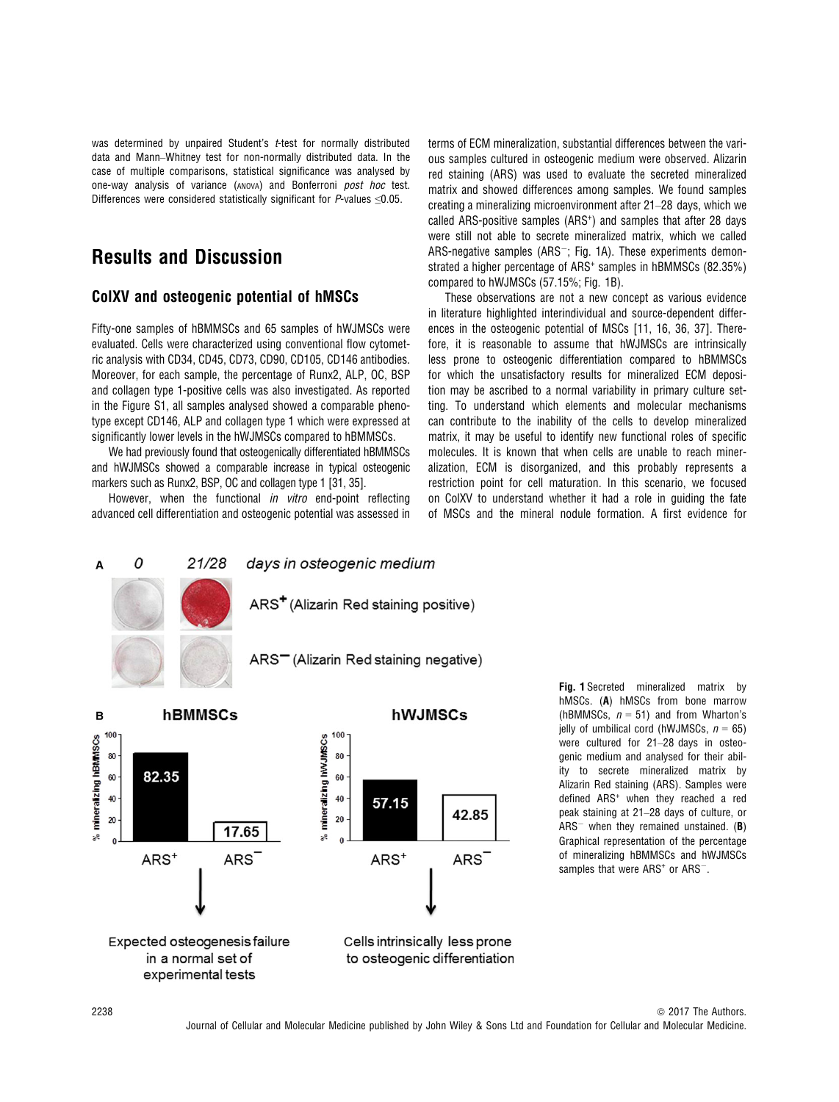was determined by unpaired Student's t-test for normally distributed data and Mann–Whitney test for non-normally distributed data. In the case of multiple comparisons, statistical significance was analysed by one-way analysis of variance (ANOVA) and Bonferroni post hoc test. Differences were considered statistically significant for P-values ≤0.05.

## Results and Discussion

### ColXV and osteogenic potential of hMSCs

Fifty-one samples of hBMMSCs and 65 samples of hWJMSCs were evaluated. Cells were characterized using conventional flow cytometric analysis with CD34, CD45, CD73, CD90, CD105, CD146 antibodies. Moreover, for each sample, the percentage of Runx2, ALP, OC, BSP and collagen type 1-positive cells was also investigated. As reported in the Figure S1, all samples analysed showed a comparable phenotype except CD146, ALP and collagen type 1 which were expressed at significantly lower levels in the hWJMSCs compared to hBMMSCs.

We had previously found that osteogenically differentiated hBMMSCs and hWJMSCs showed a comparable increase in typical osteogenic markers such as Runx2, BSP, OC and collagen type 1 [31, 35].

However, when the functional *in vitro* end-point reflecting advanced cell differentiation and osteogenic potential was assessed in terms of ECM mineralization, substantial differences between the various samples cultured in osteogenic medium were observed. Alizarin red staining (ARS) was used to evaluate the secreted mineralized matrix and showed differences among samples. We found samples creating a mineralizing microenvironment after 21–28 days, which we called ARS-positive samples (ARS<sup>+</sup>) and samples that after 28 days were still not able to secrete mineralized matrix, which we called ARS-negative samples (ARS $^{-}$ ; Fig. 1A). These experiments demonstrated a higher percentage of ARS<sup>+</sup> samples in hBMMSCs (82.35%) compared to hWJMSCs (57.15%; Fig. 1B).

These observations are not a new concept as various evidence in literature highlighted interindividual and source-dependent differences in the osteogenic potential of MSCs [11, 16, 36, 37]. Therefore, it is reasonable to assume that hWJMSCs are intrinsically less prone to osteogenic differentiation compared to hBMMSCs for which the unsatisfactory results for mineralized ECM deposition may be ascribed to a normal variability in primary culture setting. To understand which elements and molecular mechanisms can contribute to the inability of the cells to develop mineralized matrix, it may be useful to identify new functional roles of specific molecules. It is known that when cells are unable to reach mineralization, ECM is disorganized, and this probably represents a restriction point for cell maturation. In this scenario, we focused on ColXV to understand whether it had a role in guiding the fate of MSCs and the mineral nodule formation. A first evidence for



Fig. 1 Secreted mineralized matrix by hMSCs. (A) hMSCs from bone marrow (hBMMSCs,  $n = 51$ ) and from Wharton's jelly of umbilical cord (hWJMSCs,  $n = 65$ ) were cultured for 21–28 days in osteogenic medium and analysed for their ability to secrete mineralized matrix by Alizarin Red staining (ARS). Samples were defined ARS<sup>+</sup> when they reached a red peak staining at 21–28 days of culture, or  $ARS^-$  when they remained unstained. (B) Graphical representation of the percentage of mineralizing hBMMSCs and hWJMSCs samples that were ARS<sup>+</sup> or ARS<sup>-</sup>.

Expected osteogenesis failure

in a normal set of

experimental tests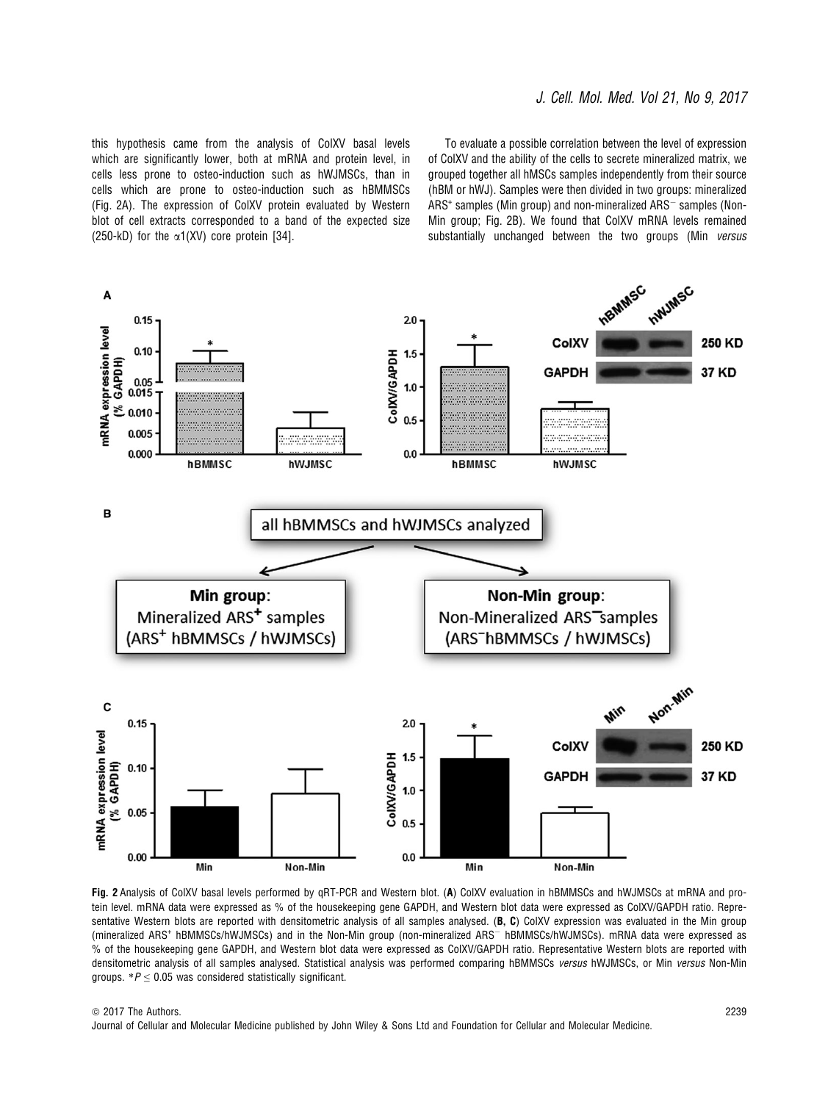#### J. Cell. Mol. Med. Vol 21, No 9, 2017

this hypothesis came from the analysis of ColXV basal levels which are significantly lower, both at mRNA and protein level, in cells less prone to osteo-induction such as hWJMSCs, than in cells which are prone to osteo-induction such as hBMMSCs (Fig. 2A). The expression of ColXV protein evaluated by Western blot of cell extracts corresponded to a band of the expected size (250-kD) for the  $\alpha$ 1(XV) core protein [34].

To evaluate a possible correlation between the level of expression of ColXV and the ability of the cells to secrete mineralized matrix, we grouped together all hMSCs samples independently from their source (hBM or hWJ). Samples were then divided in two groups: mineralized  $ARS<sup>+</sup>$  samples (Min group) and non-mineralized  $ARS<sup>-</sup>$  samples (Non-Min group; Fig. 2B). We found that ColXV mRNA levels remained substantially unchanged between the two groups (Min versus



Fig. 2 Analysis of ColXV basal levels performed by qRT-PCR and Western blot. (A) ColXV evaluation in hBMMSCs and hWJMSCs at mRNA and protein level. mRNA data were expressed as % of the housekeeping gene GAPDH, and Western blot data were expressed as ColXV/GAPDH ratio. Representative Western blots are reported with densitometric analysis of all samples analysed. (B, C) ColXV expression was evaluated in the Min group (mineralized ARS<sup>+</sup> hBMMSCs/hWJMSCs) and in the Non-Min group (non-mineralized ARS<sup>-</sup> hBMMSCs/hWJMSCs). mRNA data were expressed as % of the housekeeping gene GAPDH, and Western blot data were expressed as ColXV/GAPDH ratio. Representative Western blots are reported with densitometric analysis of all samples analysed. Statistical analysis was performed comparing hBMMSCs versus hWJMSCs, or Min versus Non-Min groups.  $*P \leq 0.05$  was considered statistically significant.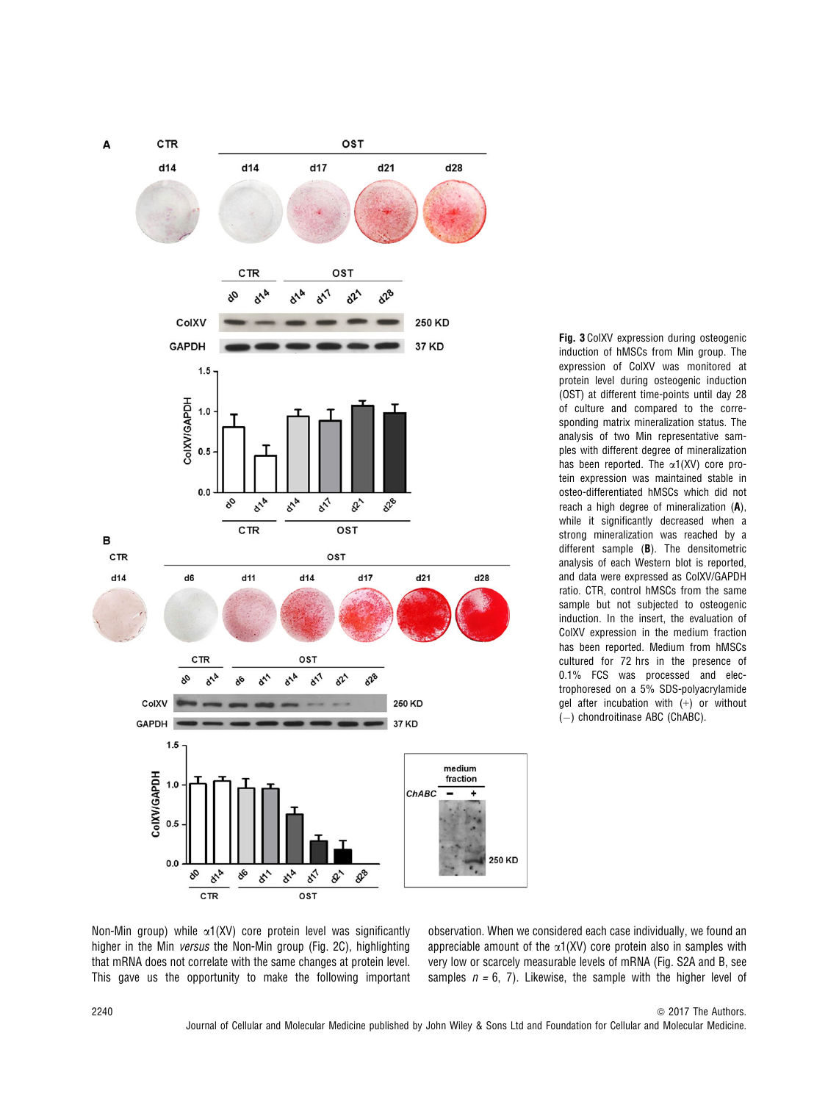

Fig. 3 ColXV expression during osteogenic induction of hMSCs from Min group. The expression of ColXV was monitored at protein level during osteogenic induction (OST) at different time-points until day 28 of culture and compared to the corresponding matrix mineralization status. The analysis of two Min representative samples with different degree of mineralization has been reported. The  $\alpha$ 1(XV) core protein expression was maintained stable in osteo-differentiated hMSCs which did not reach a high degree of mineralization (A), while it significantly decreased when a strong mineralization was reached by a different sample (B). The densitometric analysis of each Western blot is reported, and data were expressed as ColXV/GAPDH ratio. CTR, control hMSCs from the same sample but not subjected to osteogenic induction. In the insert, the evaluation of ColXV expression in the medium fraction has been reported. Medium from hMSCs cultured for 72 hrs in the presence of 0.1% FCS was processed and electrophoresed on a 5% SDS-polyacrylamide gel after incubation with (+) or without  $(-)$  chondroitinase ABC (ChABC).

Non-Min group) while  $\alpha$ 1(XV) core protein level was significantly higher in the Min versus the Non-Min group (Fig. 2C), highlighting that mRNA does not correlate with the same changes at protein level. This gave us the opportunity to make the following important

observation. When we considered each case individually, we found an appreciable amount of the  $\alpha$ 1(XV) core protein also in samples with very low or scarcely measurable levels of mRNA (Fig. S2A and B, see samples  $n = 6, 7$ ). Likewise, the sample with the higher level of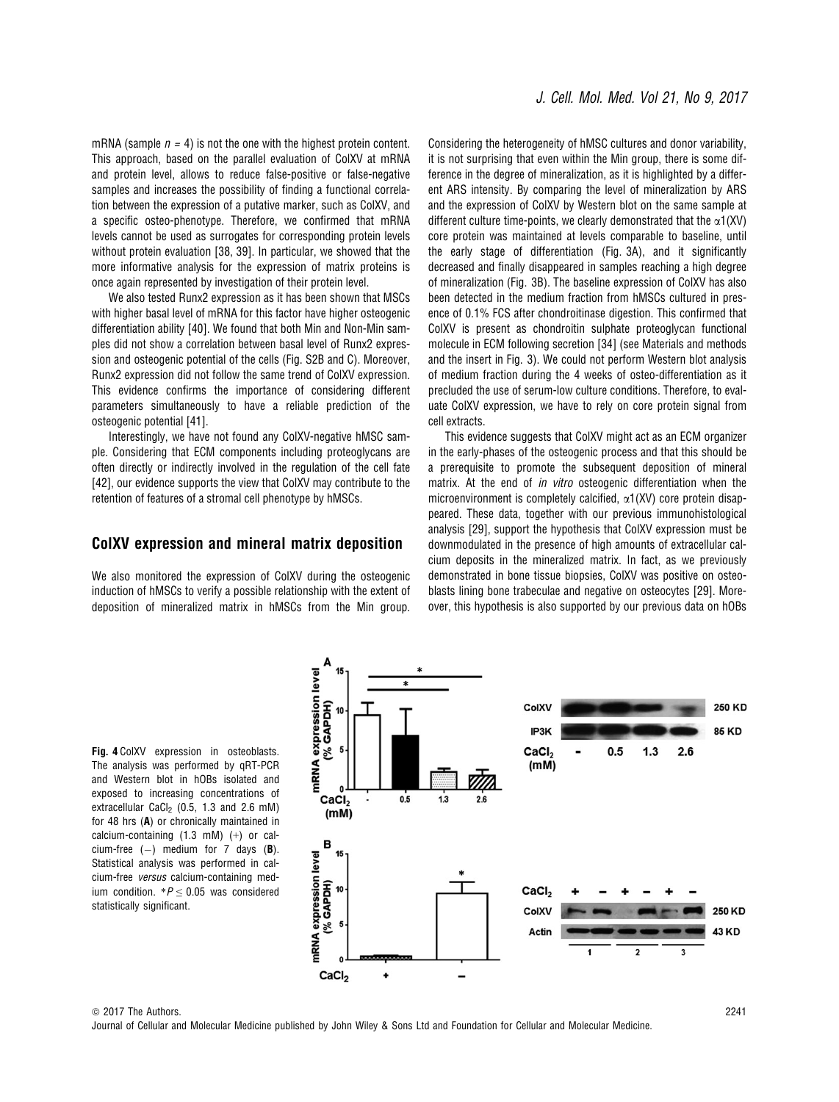mRNA (sample  $n = 4$ ) is not the one with the highest protein content. This approach, based on the parallel evaluation of ColXV at mRNA and protein level, allows to reduce false-positive or false-negative samples and increases the possibility of finding a functional correlation between the expression of a putative marker, such as ColXV, and a specific osteo-phenotype. Therefore, we confirmed that mRNA levels cannot be used as surrogates for corresponding protein levels without protein evaluation [38, 39]. In particular, we showed that the more informative analysis for the expression of matrix proteins is once again represented by investigation of their protein level.

We also tested Runx2 expression as it has been shown that MSCs with higher basal level of mRNA for this factor have higher osteogenic differentiation ability [40]. We found that both Min and Non-Min samples did not show a correlation between basal level of Runx2 expression and osteogenic potential of the cells (Fig. S2B and C). Moreover, Runx2 expression did not follow the same trend of ColXV expression. This evidence confirms the importance of considering different parameters simultaneously to have a reliable prediction of the osteogenic potential [41].

Interestingly, we have not found any ColXV-negative hMSC sample. Considering that ECM components including proteoglycans are often directly or indirectly involved in the regulation of the cell fate [42], our evidence supports the view that ColXV may contribute to the retention of features of a stromal cell phenotype by hMSCs.

#### ColXV expression and mineral matrix deposition

We also monitored the expression of ColXV during the osteogenic induction of hMSCs to verify a possible relationship with the extent of deposition of mineralized matrix in hMSCs from the Min group. Considering the heterogeneity of hMSC cultures and donor variability, it is not surprising that even within the Min group, there is some difference in the degree of mineralization, as it is highlighted by a different ARS intensity. By comparing the level of mineralization by ARS and the expression of ColXV by Western blot on the same sample at different culture time-points, we clearly demonstrated that the  $\alpha$ 1(XV) core protein was maintained at levels comparable to baseline, until the early stage of differentiation (Fig. 3A), and it significantly decreased and finally disappeared in samples reaching a high degree of mineralization (Fig. 3B). The baseline expression of ColXV has also been detected in the medium fraction from hMSCs cultured in presence of 0.1% FCS after chondroitinase digestion. This confirmed that ColXV is present as chondroitin sulphate proteoglycan functional molecule in ECM following secretion [34] (see Materials and methods and the insert in Fig. 3). We could not perform Western blot analysis of medium fraction during the 4 weeks of osteo-differentiation as it precluded the use of serum-low culture conditions. Therefore, to evaluate ColXV expression, we have to rely on core protein signal from cell extracts.

This evidence suggests that ColXV might act as an ECM organizer in the early-phases of the osteogenic process and that this should be a prerequisite to promote the subsequent deposition of mineral matrix. At the end of *in vitro* osteogenic differentiation when the microenvironment is completely calcified,  $\alpha$ 1(XV) core protein disappeared. These data, together with our previous immunohistological analysis [29], support the hypothesis that ColXV expression must be downmodulated in the presence of high amounts of extracellular calcium deposits in the mineralized matrix. In fact, as we previously demonstrated in bone tissue biopsies, ColXV was positive on osteoblasts lining bone trabeculae and negative on osteocytes [29]. Moreover, this hypothesis is also supported by our previous data on hOBs

Fig. 4 ColXV expression in osteoblasts. The analysis was performed by qRT-PCR and Western blot in hOBs isolated and exposed to increasing concentrations of extracellular CaCl<sub>2</sub> (0.5, 1.3 and 2.6 mM) for 48 hrs (A) or chronically maintained in calcium-containing (1.3 mM) (+) or calcium-free  $(-)$  medium for 7 days (B). Statistical analysis was performed in calcium-free versus calcium-containing medium condition.  $*P \leq 0.05$  was considered statistically significant.

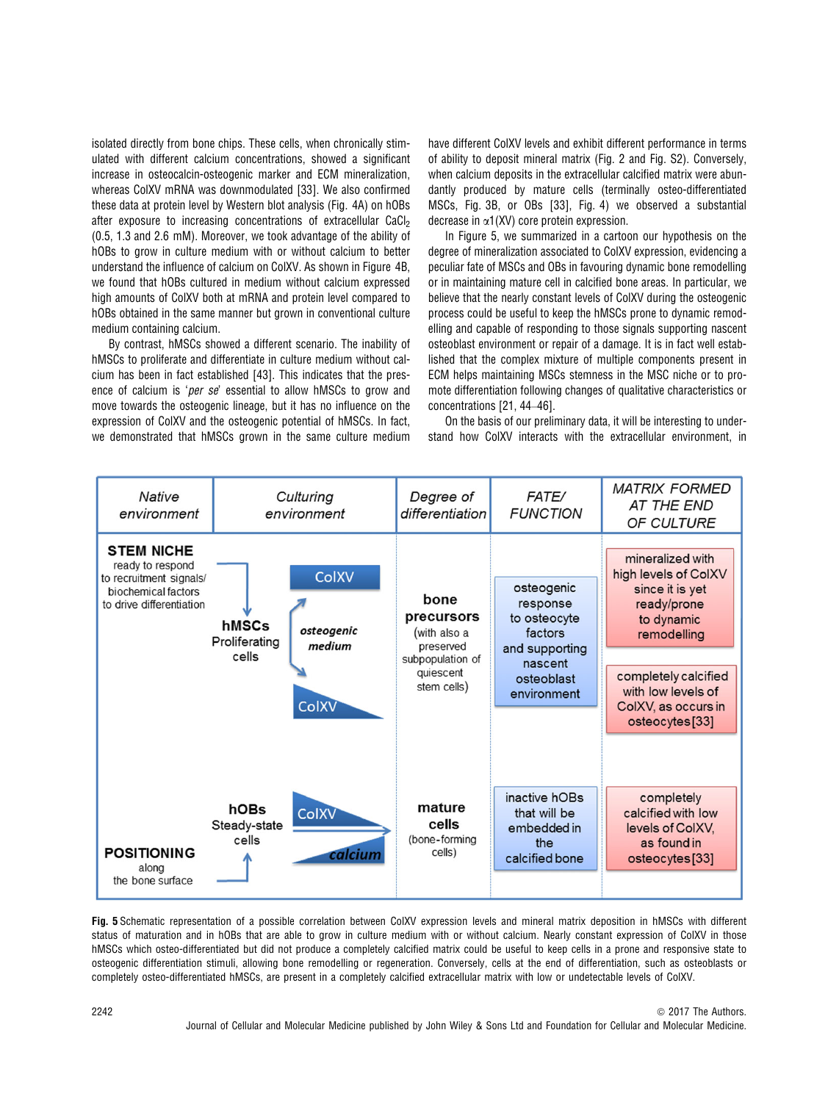isolated directly from bone chips. These cells, when chronically stimulated with different calcium concentrations, showed a significant increase in osteocalcin-osteogenic marker and ECM mineralization, whereas ColXV mRNA was downmodulated [33]. We also confirmed these data at protein level by Western blot analysis (Fig. 4A) on hOBs after exposure to increasing concentrations of extracellular CaCl<sub>2</sub> (0.5, 1.3 and 2.6 mM). Moreover, we took advantage of the ability of hOBs to grow in culture medium with or without calcium to better understand the influence of calcium on ColXV. As shown in Figure 4B, we found that hOBs cultured in medium without calcium expressed high amounts of ColXV both at mRNA and protein level compared to hOBs obtained in the same manner but grown in conventional culture medium containing calcium.

By contrast, hMSCs showed a different scenario. The inability of hMSCs to proliferate and differentiate in culture medium without calcium has been in fact established [43]. This indicates that the presence of calcium is 'per se' essential to allow hMSCs to grow and move towards the osteogenic lineage, but it has no influence on the expression of ColXV and the osteogenic potential of hMSCs. In fact, we demonstrated that hMSCs grown in the same culture medium

have different ColXV levels and exhibit different performance in terms of ability to deposit mineral matrix (Fig. 2 and Fig. S2). Conversely, when calcium deposits in the extracellular calcified matrix were abundantly produced by mature cells (terminally osteo-differentiated MSCs, Fig. 3B, or OBs [33], Fig. 4) we observed a substantial decrease in  $\alpha$ 1(XV) core protein expression.

In Figure 5, we summarized in a cartoon our hypothesis on the degree of mineralization associated to ColXV expression, evidencing a peculiar fate of MSCs and OBs in favouring dynamic bone remodelling or in maintaining mature cell in calcified bone areas. In particular, we believe that the nearly constant levels of ColXV during the osteogenic process could be useful to keep the hMSCs prone to dynamic remodelling and capable of responding to those signals supporting nascent osteoblast environment or repair of a damage. It is in fact well established that the complex mixture of multiple components present in ECM helps maintaining MSCs stemness in the MSC niche or to promote differentiation following changes of qualitative characteristics or concentrations [21, 44–46].

On the basis of our preliminary data, it will be interesting to understand how ColXV interacts with the extracellular environment, in



Fig. 5 Schematic representation of a possible correlation between ColXV expression levels and mineral matrix deposition in hMSCs with different status of maturation and in hOBs that are able to grow in culture medium with or without calcium. Nearly constant expression of ColXV in those hMSCs which osteo-differentiated but did not produce a completely calcified matrix could be useful to keep cells in a prone and responsive state to osteogenic differentiation stimuli, allowing bone remodelling or regeneration. Conversely, cells at the end of differentiation, such as osteoblasts or completely osteo-differentiated hMSCs, are present in a completely calcified extracellular matrix with low or undetectable levels of ColXV.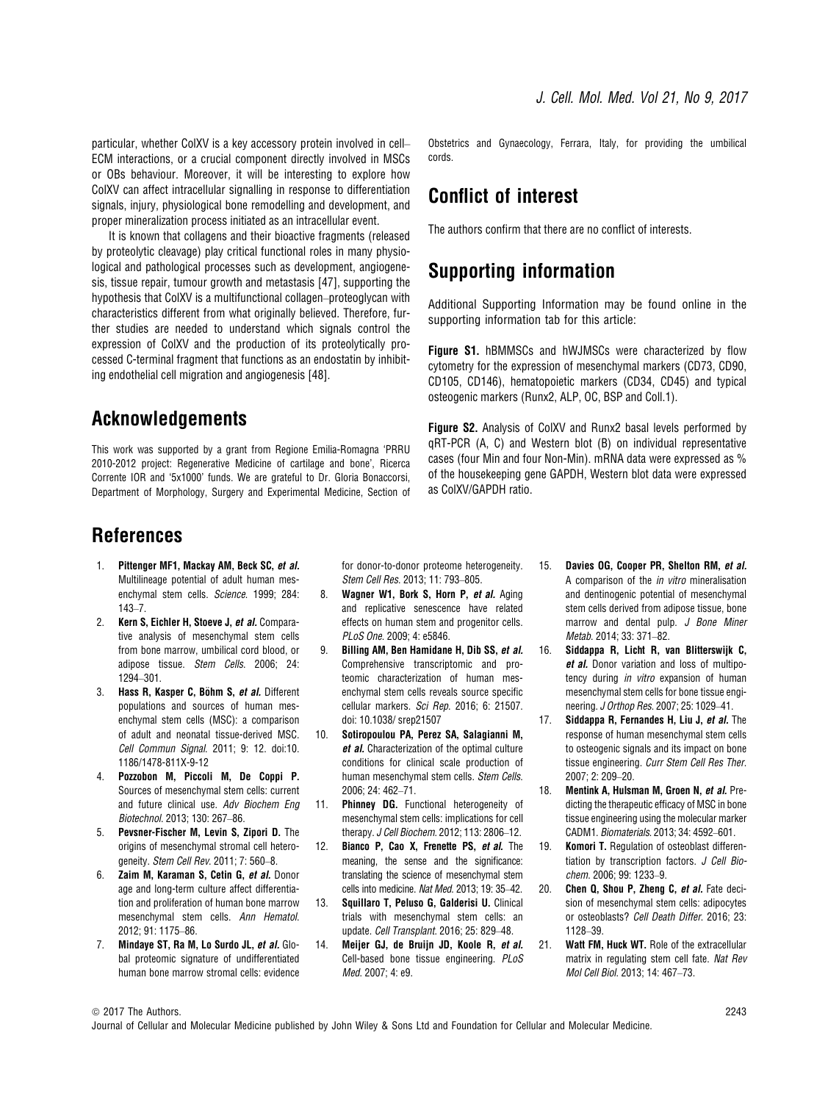particular, whether ColXV is a key accessory protein involved in cell– ECM interactions, or a crucial component directly involved in MSCs or OBs behaviour. Moreover, it will be interesting to explore how ColXV can affect intracellular signalling in response to differentiation signals, injury, physiological bone remodelling and development, and proper mineralization process initiated as an intracellular event.

It is known that collagens and their bioactive fragments (released by proteolytic cleavage) play critical functional roles in many physiological and pathological processes such as development, angiogenesis, tissue repair, tumour growth and metastasis [47], supporting the hypothesis that ColXV is a multifunctional collagen–proteoglycan with characteristics different from what originally believed. Therefore, further studies are needed to understand which signals control the expression of ColXV and the production of its proteolytically processed C-terminal fragment that functions as an endostatin by inhibiting endothelial cell migration and angiogenesis [48].

## Acknowledgements

This work was supported by a grant from Regione Emilia-Romagna 'PRRU 2010-2012 project: Regenerative Medicine of cartilage and bone', Ricerca Corrente IOR and '5x1000' funds. We are grateful to Dr. Gloria Bonaccorsi, Department of Morphology, Surgery and Experimental Medicine, Section of Obstetrics and Gynaecology, Ferrara, Italy, for providing the umbilical cords.

# Conflict of interest

The authors confirm that there are no conflict of interests.

# Supporting information

Additional Supporting Information may be found online in the supporting information tab for this article:

Figure S1. hBMMSCs and hWJMSCs were characterized by flow cytometry for the expression of mesenchymal markers (CD73, CD90, CD105, CD146), hematopoietic markers (CD34, CD45) and typical osteogenic markers (Runx2, ALP, OC, BSP and Coll.1).

Figure S2. Analysis of ColXV and Runx2 basal levels performed by qRT-PCR (A, C) and Western blot (B) on individual representative cases (four Min and four Non-Min). mRNA data were expressed as % of the housekeeping gene GAPDH, Western blot data were expressed as ColXV/GAPDH ratio.

# References

- 1. Pittenger MF1, Mackay AM, Beck SC, et al. Multilineage potential of adult human mesenchymal stem cells. Science. 1999; 284: 143–7.
- 2. Kern S, Eichler H, Stoeve J, et al. Comparative analysis of mesenchymal stem cells from bone marrow, umbilical cord blood, or adipose tissue. Stem Cells. 2006; 24: 1294–301.
- 3. Hass R, Kasper C, Böhm S, et al. Different populations and sources of human mesenchymal stem cells (MSC): a comparison of adult and neonatal tissue-derived MSC. Cell Commun Signal. 2011; 9: 12. doi:[10.](https://doi.org/10.1186/1478-811X-9-12) [1186/1478-811X-9-12](https://doi.org/10.1186/1478-811X-9-12)
- 4. Pozzobon M, Piccoli M, De Coppi P. Sources of mesenchymal stem cells: current and future clinical use. Adv Biochem Eng Biotechnol. 2013; 130: 267–86.
- 5. Pevsner-Fischer M, Levin S, Zipori D. The origins of mesenchymal stromal cell heterogeneity. Stem Cell Rev. 2011; 7: 560–8.
- 6. Zaim M, Karaman S, Cetin G, et al. Donor age and long-term culture affect differentiation and proliferation of human bone marrow mesenchymal stem cells. Ann Hematol. 2012; 91: 1175–86.
- 7. Mindaye ST, Ra M, Lo Surdo JL, et al. Global proteomic signature of undifferentiated human bone marrow stromal cells: evidence

for donor-to-donor proteome heterogeneity. Stem Cell Res. 2013; 11: 793–805.

- 8. Wagner W1, Bork S, Horn P, et al. Aging and replicative senescence have related effects on human stem and progenitor cells. PLoS One. 2009; 4: e5846.
- 9. Billing AM, Ben Hamidane H, Dib SS, et al. Comprehensive transcriptomic and proteomic characterization of human mesenchymal stem cells reveals source specific cellular markers. Sci Rep. 2016; 6: 21507. doi: [10.1038/ srep21507](https://doi.org/10.1038/ srep21507)
- 10. Sotiropoulou PA, Perez SA, Salagianni M, et al. Characterization of the optimal culture conditions for clinical scale production of human mesenchymal stem cells. Stem Cells. 2006; 24: 462–71.
- 11. **Phinney DG.** Functional heterogeneity of mesenchymal stem cells: implications for cell therapy. J Cell Biochem. 2012; 113: 2806–12.
- 12. Bianco P, Cao X, Frenette PS, et al. The meaning, the sense and the significance: translating the science of mesenchymal stem cells into medicine. Nat Med. 2013; 19: 35–42.
- 13. Squillaro T, Peluso G, Galderisi U. Clinical trials with mesenchymal stem cells: an update. Cell Transplant. 2016; 25: 829–48.
- 14. Meijer GJ, de Bruijn JD, Koole R, et al. Cell-based bone tissue engineering. PLoS Med. 2007; 4: e9.
- 15. Davies OG, Cooper PR, Shelton RM, et al. A comparison of the in vitro mineralisation and dentinogenic potential of mesenchymal stem cells derived from adipose tissue, bone marrow and dental pulp. J Bone Miner Metab. 2014; 33: 371–82.
- 16. Siddappa R, Licht R, van Blitterswijk C, et al. Donor variation and loss of multipotency during in vitro expansion of human mesenchymal stem cells for bone tissue engineering. J Orthop Res. 2007; 25: 1029–41.
- 17. Siddappa R, Fernandes H, Liu J, et al. The response of human mesenchymal stem cells to osteogenic signals and its impact on bone tissue engineering. Curr Stem Cell Res Ther. 2007; 2: 209–20.
- 18. Mentink A, Hulsman M, Groen N, et al. Predicting the therapeutic efficacy of MSC in bone tissue engineering using the molecular marker CADM1. Biomaterials. 2013; 34: 4592–601.
- 19. Komori T. Regulation of osteoblast differentiation by transcription factors. J Cell Biochem. 2006; 99: 1233–9.
- 20. Chen Q, Shou P, Zheng C, et al. Fate decision of mesenchymal stem cells: adipocytes or osteoblasts? Cell Death Differ. 2016; 23: 1128–39.
- 21. Watt FM, Huck WT, Role of the extracellular matrix in regulating stem cell fate. Nat Rev Mol Cell Biol. 2013; 14: 467–73.